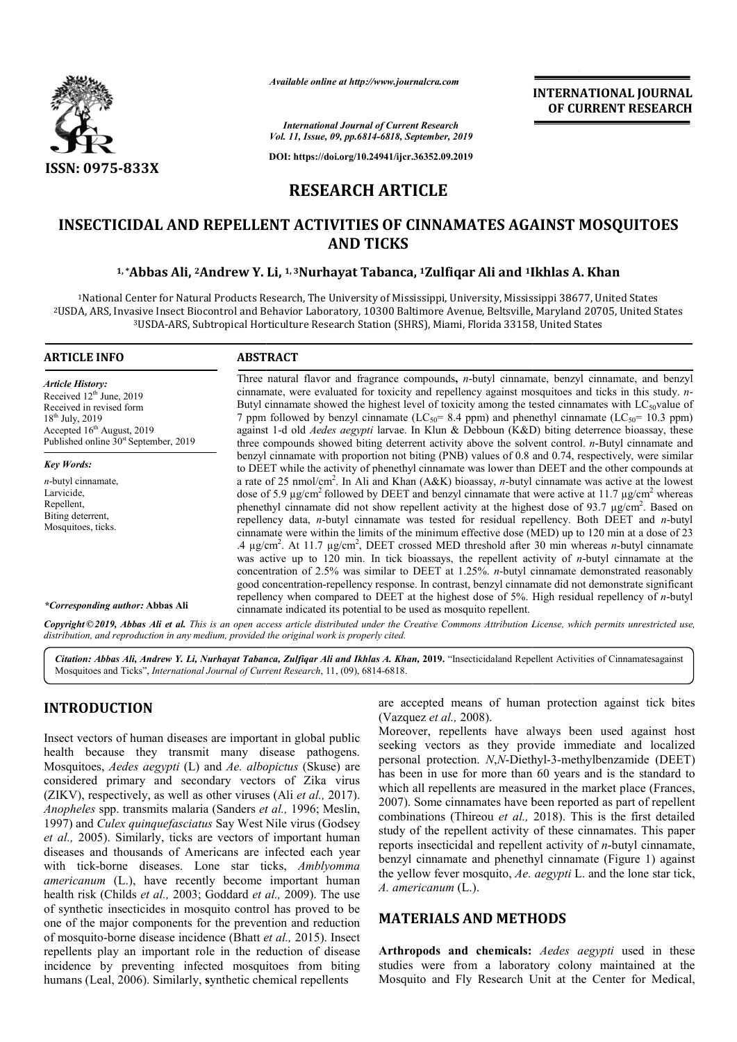

*Available online at http://www.journalcra.com*

### **INTERNATIONAL JOURNAL OF CURRENT RESEARCH**

*International Journal of Current Research Vol. 11, Issue, 09, pp.6814-6818, September, 2019*

**DOI: https://doi.org/10.24941/ijcr.36352.09.2019**

## **RESEARCH ARTICLE**

# INSECTICIDAL AND REPELLENT ACTIVITIES OF CINNAMATES AGAINST MOSQUITOES<br>AND TICKS<br><sup>1,\*</sup>Abbas Ali, <sup>2</sup>Andrew Y. Li, <sup>1,3</sup>Nurhayat Tabanca, <sup>1</sup>Zulfiqar Ali and <sup>1</sup>Ikhlas A. Khan **AND TICKS**

### <sup>1,</sup>\*Abbas Ali, <sup>2</sup>Andrew Y. Li, <sup>1,3</sup>Nurhayat Tabanca, <sup>1</sup>Zulfiqar Ali and <sup>1</sup>Ikhlas A. Khan

1National Center for Natural Products Research, The University of Mississippi, University, Mississippi 38677, United States <sup>2</sup>USDA, ARS, Invasive Insect Biocontrol and Behavior Laboratory, 10300 Baltimore Avenue, Beltsville, Maryland 20705, United States 3USDA-ARS, Subtropical Horticulture Research Station (SHRS), Miami, Florida 33158, United States ARS,

### **ARTICLE INFO ABSTRACT**

*Article History:* Received  $12<sup>th</sup>$  June, 2019 Received in revised form 18<sup>th</sup> July, 2019 Accepted 16<sup>th</sup> August, 2019 Published online  $30<sup>st</sup>$  September, 2019

*Key Words: n*-butyl cinnamate, Larvicide, Repellent, Biting deterrent, Mosquitoes, ticks.

Three natural flavor and fragrance compounds **,** *n*-butyl cinnamate, benzyl cinnamate, and benzyl Three natural flavor and fragrance compounds, *n*-butyl cinnamate, benzyl cinnamate, and benzyl cinnamate, were evaluated for toxicity and repellency against mosquitoes and ticks in this study. *n*-Butyl cinnamate showed the highest level of toxicity among the tested cinnamates with  $LC_{50}$ value of 7 ppm followed by benzyl cinnamate ( $LC_{50}$  = 8.4 ppm) and phenethyl cinnamate ( $LC_{50}$  = 10.3 ppm) against 1 1-d old *Aedes aegypti* larvae. In Klun & Debboun (K&D) biting deterrence bioassay, these against 1-d old *Aedes aegypti* larvae. In Klun & Debboun (K&D) biting deterrence bioassay, these three compounds showed biting deterrent activity above the solvent control. *n*-Butyl cinnamate and benzyl cinnamate with proportion not biting (PNB) values of 0.8 and 0.74, respectively, were similar to DEET while the activity of phenethyl cinnamate was lower than DEET and the other compounds at to DEET while the activity of phenethyl cinnamate was lower than DEET and the other compounds at a rate of 25 nmol/cm<sup>2</sup>. In Ali and Khan (A&K) bioassay, *n*-butyl cinnamate was active at the lowest dose of 5.9  $\mu$ g/cm<sup>2</sup> followed by DEET and benzyl cinnamate that were active at 11.7  $\mu$ g/cm<sup>2</sup> whereas phenethyl cinnamate did not show repellent activity at the highest dose of 93.7  $\mu$ g/cm<sup>2</sup>. Based on repellency data, *n*-butyl cinnamate was tested for residual repellency. Both DEET and *n*-butyl cinnamate were within the limits of the minimum effective dose (MED) up to 120 min at a dose of 23 cinnamate were within the limits of the minimum effective dose (MED) up to 120 min at a dose of 23<br>4 µg/cm<sup>2</sup>. At 11.7 µg/cm<sup>2</sup>, DEET crossed MED threshold after 30 min whereas *n*-butyl cinnamate was active up to 120 min. In tick bioassays, the repellent activity of *n*-butyl cinnamate at the concentration of 2.5% was similar to DEET at 1.25%. *n*-butyl cinnamate demonstrated reasonably good concentration-repellency response. In contrast, benzyl cinnamate did not demonstrate significant concentration of 2.5% was similar to DEET at 1.25%. *n*-butyl cinnamate demonstrated reasonably good concentration-repellency response. In contrast, benzyl cinnamate did not demonstrate significant repellency when compared cinnamate indicated its potential to be used as mosquito repellent. **INTERNATIONAL JOURNAL OF CURRENT RESEARCH CONDICAL ACTE CONDUPAL CONDUPAL CONDUPAL CONDUPAL CONDUPAL CONDUPAL SERVED SURFACT RESEARCH S, A Aryland 20705, United States 8, United States 8, United States 8, United States 8** 

*\*Corresponding author:* **Abbas Ali**

Copyright © 2019, Abbas Ali et al. This is an open access article distributed under the Creative Commons Attribution License, which permits unrestricted use, *distribution, and reproduction in any medium, provided the original work is properly cited.*

Citation: Abbas Ali, Andrew Y. Li, Nurhayat Tabanca, Zulfiqar Ali and Ikhlas A. Khan, 2019. "Insecticidaland Repellent Activities of Cinnamatesagainst Mosquitoes and Ticks", *International Journal of Current Research* , 11, (09), 6814-6818.

### **INTRODUCTION**

Insect vectors of human diseases are important in global public health because they transmit many disease pathogens. Mosquitoes, *Aedes aegypti* (L) and *Ae. albopictus* (Skuse) are considered primary and secondary vectors of Zika virus (ZIKV), respectively, as well as other viruses (Ali *et al.,* 2017). *Anopheles* spp. transmits malaria (Sanders *et al.,*  1996; Meslin, 1997) and *Culex quinquefasciatus* Say West Nile virus (Godsey *et al.,* 2005). Similarly, ticks are vectors of important human diseases and thousands of Americans are infected each year with tick-borne diseases. Lone star ticks, Amblyomma *americanum* (L.), have recently become important human health risk (Childs *et al.,* 2003; Goddard *et al.,*  2009). The use of synthetic insecticides in mosquito control has proved to be one of the major components for the prevention and reduction of mosquito-borne disease incidence (Bhatt *et al.,*  2015). Insect repellents play an important role in the reduction of disease incidence by preventing infected mosquitoes from biting humans (Leal, 2006). Similarly, **s**ynthetic chemical repellents Culex quinquefasciatus Say West Nile virus (Godsey<br>5). Similarly, ticks are vectors of important human<br>ad thousands of Americans are infected each year<br>borne diseases. Lone star ticks, *Amblyomma* **EXENSIDENTION**<br>
Sect vectors of human diseases are important in global public (Vazquez et al., 2008).<br>
Norcover, repellents have always been used against host<br>
section the same section and locatized end locatized the pro

(Vazquez *et al.,* 2008).

Moreover, repellents have always been used against host seeking vectors as they provide immediate and localized personal protection. *N*,*N*-Diethyl has been in use for more than 60 years and is the standard to which all repellents are measured in the market place (Frances, 2007). Some cinnamates have been reported as part of repellent combinations (Thireou et al., 2018). This is the first detailed study of the repellent activity of these cinnamates. This paper reports insecticidal and repellent activity of *n*-butyl cinnamate, benzyl cinnamate and phenethyl cinnamate (Figure 1) against the yellow fever mosquito, *Ae. aegypti* L. and the lone star tick, *A. americanum* (L.). are accepted means of human protection against tick bites (Vazquez *et al.*, 2008).<br>
Moreover, repellents have always been used against host seeking vectors as they provide immediate and localized personal protection. *N,N* has been in use for more than 60 years and is the stawhich all repellents are measured in the market place (2007). Some cinnamates have been reported as part of

### **MATERIALS AND METHODS METHODS**

**Arthropods and chemicals:** *Aedes aegypti* used in these studies were from a laboratory colony maintained at the Mosquito and Fly Research Unit at the Center for Medical,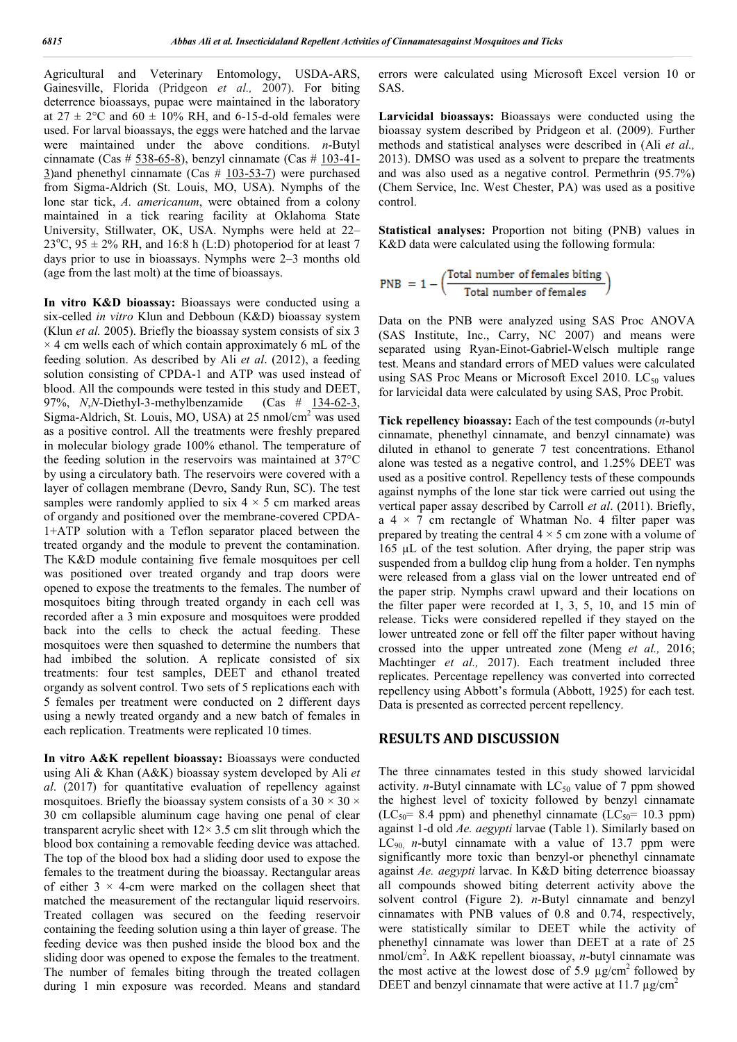Agricultural and Veterinary Entomology, USDA-ARS, Gainesville, Florida (Pridgeon *et al.,* 2007). For biting deterrence bioassays, pupae were maintained in the laboratory at  $27 \pm 2$ °C and  $60 \pm 10\%$  RH, and 6-15-d-old females were used. For larval bioassays, the eggs were hatched and the larvae were maintained under the above conditions. *n*-Butyl cinnamate (Cas  $\#$  538-65-8), benzyl cinnamate (Cas  $\#$  103-41-3)and phenethyl cinnamate (Cas  $# 103-53-7$ ) were purchased from Sigma-Aldrich (St. Louis, MO, USA). Nymphs of the lone star tick, *A. americanum*, were obtained from a colony maintained in a tick rearing facility at Oklahoma State University, Stillwater, OK, USA. Nymphs were held at 22–  $23^{\circ}$ C,  $95 \pm 2\%$  RH, and 16:8 h (L:D) photoperiod for at least 7 days prior to use in bioassays. Nymphs were 2–3 months old (age from the last molt) at the time of bioassays.

**In vitro K&D bioassay:** Bioassays were conducted using a six-celled *in vitro* Klun and Debboun (K&D) bioassay system (Klun *et al.* 2005). Briefly the bioassay system consists of six 3  $\times$  4 cm wells each of which contain approximately 6 mL of the feeding solution. As described by Ali *et al*. (2012), a feeding solution consisting of CPDA-1 and ATP was used instead of blood. All the compounds were tested in this study and DEET, 97%, *N*,*N*-Diethyl-3-methylbenzamide (Cas # 134-62-3, Sigma-Aldrich, St. Louis, MO, USA) at  $25 \text{ nmol/cm}^2$  was used as a positive control. All the treatments were freshly prepared in molecular biology grade 100% ethanol. The temperature of the feeding solution in the reservoirs was maintained at 37°C by using a circulatory bath. The reservoirs were covered with a layer of collagen membrane (Devro, Sandy Run, SC). The test samples were randomly applied to six  $4 \times 5$  cm marked areas of organdy and positioned over the membrane-covered CPDA-1+ATP solution with a Teflon separator placed between the treated organdy and the module to prevent the contamination. The K&D module containing five female mosquitoes per cell was positioned over treated organdy and trap doors were opened to expose the treatments to the females. The number of mosquitoes biting through treated organdy in each cell was recorded after a 3 min exposure and mosquitoes were prodded back into the cells to check the actual feeding. These mosquitoes were then squashed to determine the numbers that had imbibed the solution. A replicate consisted of six treatments: four test samples, DEET and ethanol treated organdy as solvent control. Two sets of 5 replications each with 5 females per treatment were conducted on 2 different days using a newly treated organdy and a new batch of females in each replication. Treatments were replicated 10 times.

**In vitro A&K repellent bioassay:** Bioassays were conducted using Ali & Khan (A&K) bioassay system developed by Ali *et al*. (2017) for quantitative evaluation of repellency against mosquitoes. Briefly the bioassay system consists of a  $30 \times 30 \times$ 30 cm collapsible aluminum cage having one penal of clear transparent acrylic sheet with  $12 \times 3.5$  cm slit through which the blood box containing a removable feeding device was attached. The top of the blood box had a sliding door used to expose the females to the treatment during the bioassay. Rectangular areas of either  $3 \times 4$ -cm were marked on the collagen sheet that matched the measurement of the rectangular liquid reservoirs. Treated collagen was secured on the feeding reservoir containing the feeding solution using a thin layer of grease. The feeding device was then pushed inside the blood box and the sliding door was opened to expose the females to the treatment. The number of females biting through the treated collagen during 1 min exposure was recorded. Means and standard

errors were calculated using Microsoft Excel version 10 or SAS.

**Larvicidal bioassays:** Bioassays were conducted using the bioassay system described by Pridgeon et al. (2009). Further methods and statistical analyses were described in (Ali *et al.,*  2013). DMSO was used as a solvent to prepare the treatments and was also used as a negative control. Permethrin (95.7%) (Chem Service, Inc. West Chester, PA) was used as a positive control.

**Statistical analyses:** Proportion not biting (PNB) values in K&D data were calculated using the following formula:

 $\text{PNB } = 1 - \left( \frac{\text{Total number of females bitmap}}{\text{Total number of females}} \right)$ 

Data on the PNB were analyzed using SAS Proc ANOVA (SAS Institute, Inc., Carry, NC 2007) and means were separated using Ryan-Einot-Gabriel-Welsch multiple range test. Means and standard errors of MED values were calculated using SAS Proc Means or Microsoft Excel 2010. LC $_{50}$  values for larvicidal data were calculated by using SAS, Proc Probit.

**Tick repellency bioassay:** Each of the test compounds (*n*-butyl cinnamate, phenethyl cinnamate, and benzyl cinnamate) was diluted in ethanol to generate 7 test concentrations. Ethanol alone was tested as a negative control, and 1.25% DEET was used as a positive control. Repellency tests of these compounds against nymphs of the lone star tick were carried out using the vertical paper assay described by Carroll *et al*. (2011). Briefly, a  $4 \times 7$  cm rectangle of Whatman No. 4 filter paper was prepared by treating the central  $4 \times 5$  cm zone with a volume of 165 µL of the test solution. After drying, the paper strip was suspended from a bulldog clip hung from a holder. Ten nymphs were released from a glass vial on the lower untreated end of the paper strip. Nymphs crawl upward and their locations on the filter paper were recorded at 1, 3, 5, 10, and 15 min of release. Ticks were considered repelled if they stayed on the lower untreated zone or fell off the filter paper without having crossed into the upper untreated zone (Meng *et al.,* 2016; Machtinger *et al.,* 2017). Each treatment included three replicates. Percentage repellency was converted into corrected repellency using Abbott's formula (Abbott, 1925) for each test. Data is presented as corrected percent repellency.

### **RESULTS AND DISCUSSION**

The three cinnamates tested in this study showed larvicidal activity. *n*-Butyl cinnamate with  $LC_{50}$  value of 7 ppm showed the highest level of toxicity followed by benzyl cinnamate (LC<sub>50</sub>= 8.4 ppm) and phenethyl cinnamate (LC<sub>50</sub>= 10.3 ppm) against 1-d old *Ae. aegypti* larvae (Table 1). Similarly based on  $LC_{90}$  *n*-butyl cinnamate with a value of 13.7 ppm were significantly more toxic than benzyl-or phenethyl cinnamate against *Ae. aegypti* larvae. In K&D biting deterrence bioassay all compounds showed biting deterrent activity above the solvent control (Figure 2). *n*-Butyl cinnamate and benzyl cinnamates with PNB values of 0.8 and 0.74, respectively, were statistically similar to DEET while the activity of phenethyl cinnamate was lower than DEET at a rate of 25 nmol/cm2 . In A&K repellent bioassay, *n*-butyl cinnamate was the most active at the lowest dose of 5.9  $\mu$ g/cm<sup>2</sup> followed by DEET and benzyl cinnamate that were active at 11.7  $\mu$ g/cm<sup>2</sup>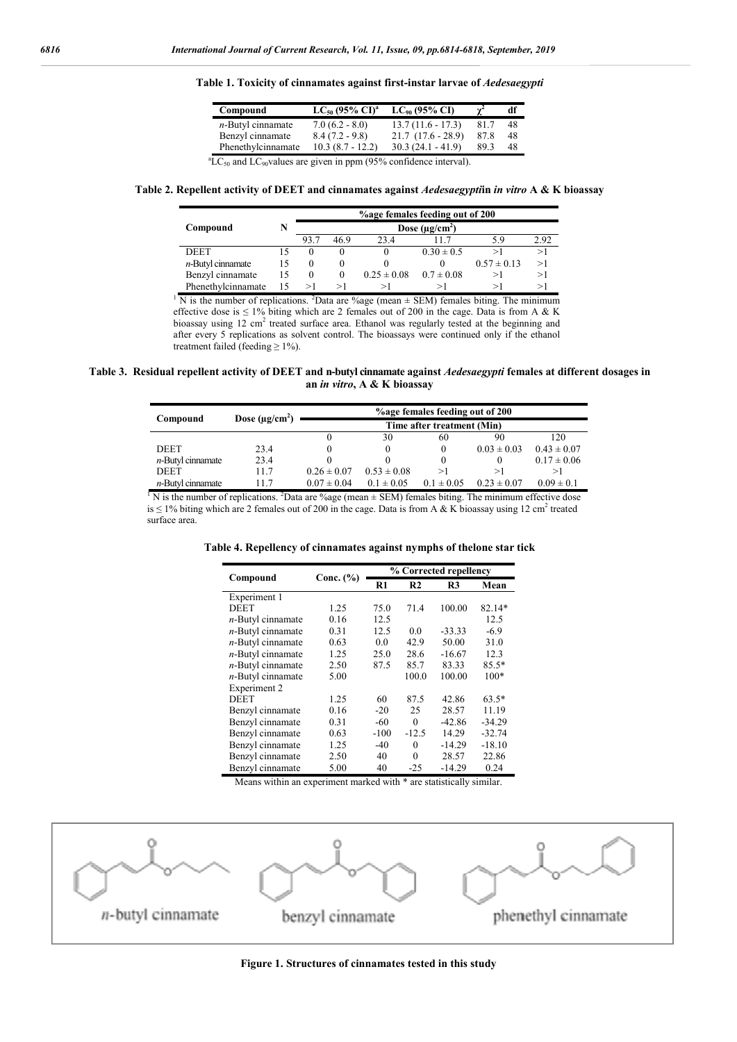| Compound             | $LC_{50}$ (95% $CI$ ) <sup>a</sup> | $LC_{90}$ (95% CI)  |      | df |
|----------------------|------------------------------------|---------------------|------|----|
| $n$ -Butyl cinnamate | $7.0(6.2 - 8.0)$                   | $13.7(11.6 - 17.3)$ | 81.7 | 48 |
| Benzyl cinnamate     | $8.4(7.2 - 9.8)$                   | $21.7(17.6 - 28.9)$ | 87.8 | 48 |
| Phenethylcinnamate   | $10.3(8.7 - 12.2)$                 | $30.3(24.1 - 41.9)$ | 89.3 | 48 |

**Table 1. Toxicity of cinnamates against first-instar larvae of** *Aedesaegypti*

 ${}^{\text{a}}\text{LC}_{50}$  and LC<sub>90</sub>values are given in ppm (95% confidence interval).

**Table 2. Repellent activity of DEET and cinnamates against** *Aedesaegypti***in** *in vitro* **A & K bioassay**

|                      |    |                     |          | %age females feeding out of 200 |                |                 |      |
|----------------------|----|---------------------|----------|---------------------------------|----------------|-----------------|------|
| Compound             |    | Dose $(\mu g/cm^2)$ |          |                                 |                |                 |      |
|                      |    | 93.7                | 469      | 23 A                            |                | 59              | 2.92 |
| <b>DEET</b>          |    | $\theta$            |          |                                 | $0.30 \pm 0.5$ | >١              |      |
| $n$ -Butyl cinnamate |    | $\theta$            | O        |                                 |                | $0.57 \pm 0.13$ | >1   |
| Benzyl cinnamate     | 15 | $\Omega$            | $\theta$ | $0.25 \pm 0.08$                 | $0.7 \pm 0.08$ | ⊳l              | >1   |
| Phenethylcinnamate   |    | >1                  | >⊺       | >١                              |                |                 |      |

<sup>1</sup> N is the number of replications. <sup>2</sup>Data are %age (mean  $\pm$  SEM) females biting. The minimum effective dose is  $\leq 1\%$  biting which are 2 females out of 200 in the cage. Data is from A & K bioassay using 12 cm<sup>2</sup> treated surface area. Ethanol was regularly tested at the beginning and after every 5 replications as solvent control. The bioassays were continued only if the ethanol treatment failed (feeding  $\geq 1\%$ ).

**Table 3. Residual repellent activity of DEET and n-butyl cinnamate against** *Aedesaegypti* **females at different dosages in an** *in vitro***, A & K bioassay**

|                      |                     | %age females feeding out of 200 |                 |                |                 |                 |  |
|----------------------|---------------------|---------------------------------|-----------------|----------------|-----------------|-----------------|--|
| Compound             | Dose $(\mu g/cm^2)$ |                                 |                 |                |                 |                 |  |
|                      |                     |                                 | 30              | 60             | 90              | 120             |  |
| <b>DEET</b>          | 23.4                |                                 |                 | $\theta$       | $0.03 \pm 0.03$ | $0.43 \pm 0.07$ |  |
| $n$ -Butyl cinnamate | 23.4                |                                 |                 | $\Omega$       |                 | $0.17 \pm 0.06$ |  |
| <b>DEET</b>          | 11.7                | $0.26 \pm 0.07$                 | $0.53 \pm 0.08$ | >l             | >1              | >1              |  |
| $n$ -Butyl cinnamate | 117                 | $0.07 \pm 0.04$                 | $0.1 \pm 0.05$  | $0.1 \pm 0.05$ | $0.23 \pm 0.07$ | $0.09 \pm 0.1$  |  |

<sup>1</sup> N is the number of replications. <sup>2</sup>Data are %age (mean  $\pm$  SEM) females biting. The minimum effective dose is  $\leq$  1% biting which are 2 females out of 200 in the cage. Data is from A & K bioassay using 12 cm<sup>2</sup> treated surface area.

|  | Table 4. Repellency of cinnamates against nymphs of thelone star tick |  |  |  |
|--|-----------------------------------------------------------------------|--|--|--|
|  |                                                                       |  |  |  |

|                      |               | % Corrected repellency |                |          |          |  |  |
|----------------------|---------------|------------------------|----------------|----------|----------|--|--|
| Compound             | Conc. $(\% )$ | R1                     | R <sub>2</sub> | R3       | Mean     |  |  |
| Experiment 1         |               |                        |                |          |          |  |  |
| <b>DEET</b>          | 1.25          | 75.0                   | 71.4           | 100.00   | 82.14*   |  |  |
| $n$ -Butyl cinnamate | 0.16          | 12.5                   |                |          | 12.5     |  |  |
| $n$ -Butyl cinnamate | 0.31          | 12.5                   | 0.0            | $-33.33$ | $-6.9$   |  |  |
| $n$ -Butyl cinnamate | 0.63          | 0.0                    | 42.9           | 50.00    | 31.0     |  |  |
| $n$ -Butyl cinnamate | 1.25          | 25.0                   | 28.6           | $-16.67$ | 12.3     |  |  |
| $n$ -Butyl cinnamate | 2.50          | 87.5                   | 85.7           | 83.33    | $85.5*$  |  |  |
| $n$ -Butyl cinnamate | 5.00          |                        | 100.0          | 100.00   | $100*$   |  |  |
| Experiment 2         |               |                        |                |          |          |  |  |
| <b>DEET</b>          | 1.25          | 60                     | 87.5           | 42.86    | $63.5*$  |  |  |
| Benzyl cinnamate     | 0.16          | $-20$                  | 25             | 28.57    | 11.19    |  |  |
| Benzyl cinnamate     | 0.31          | $-60$                  | $\theta$       | $-42.86$ | $-34.29$ |  |  |
| Benzyl cinnamate     | 0.63          | $-100$                 | $-12.5$        | 14.29    | $-32.74$ |  |  |
| Benzyl cinnamate     | 1.25          | $-40$                  | $\theta$       | $-14.29$ | $-18.10$ |  |  |
| Benzyl cinnamate     | 2.50          | 40                     | $\theta$       | 28.57    | 22.86    |  |  |
| Benzyl cinnamate     | 5.00          | 40                     | $-25$          | $-14.29$ | 0.24     |  |  |

Means within an experiment marked with \* are statistically similar.

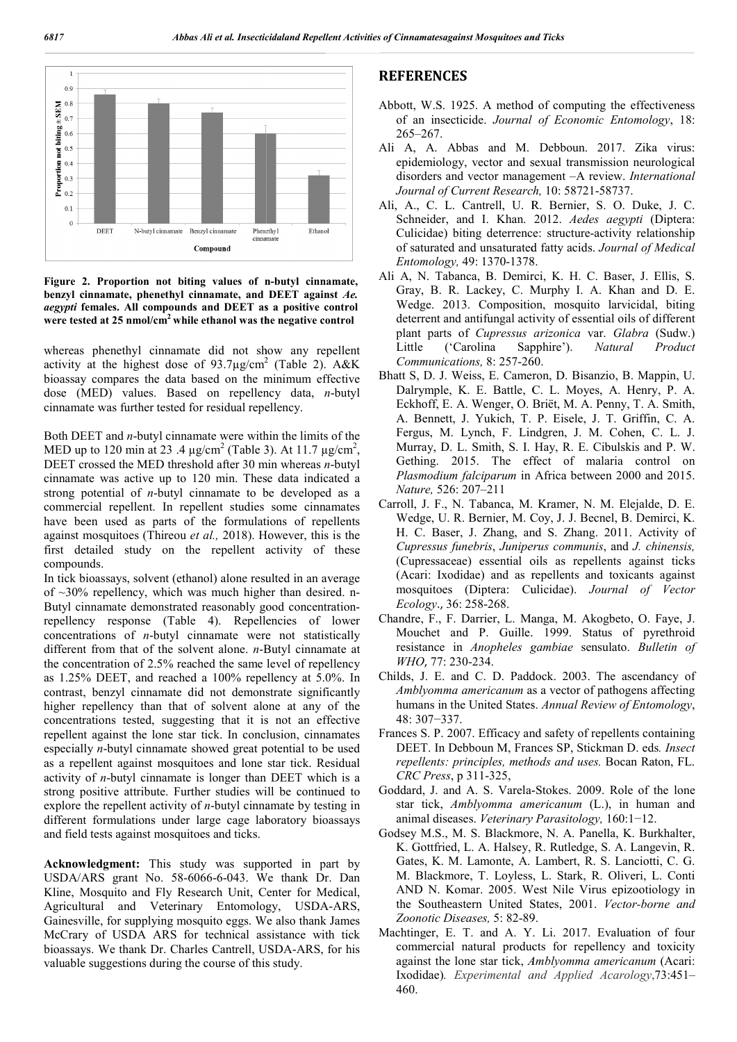

**Figure 2. Proportion not biting values of n n-butyl cinnamate, benzyl cinnamate, phenethyl cinnamate, and DEET against**  *Ae. aegypti* **females. All compounds and DEET as a positive control**  were tested at 25 nmol/cm<sup>2</sup> while ethanol was the negative control

whereas phenethyl cinnamate did not show any repellent activity at the highest dose of  $93.7 \mu$ g/cm<sup>2</sup> (Table 2). A&K bioassay compares the data based on the minimum effective dose (MED) values. Based on repellency data, *n*-butyl cinnamate was further tested for residual repellency.

Both DEET and *n*-butyl cinnamate were within the limits of the Both DEET and *n*-butyl cinnamate were within the limits of the MED up to 120 min at 23 .4  $\mu$ g/cm<sup>2</sup> (Table 3). At 11.7  $\mu$ g/cm<sup>2</sup>, DEET crossed the MED threshold after 30 min whereas *n*-butyl cinnamate was active up to 120 min. These data indicated a strong potential of *n*-butyl cinnamate to be developed as a commercial repellent. In repellent studies some cinnamates have been used as parts of the formulations of repellents against mosquitoes (Thireou *et al.,* 2018). However, this is the first detailed study on the repellent activity of these compounds. ctive up to 120 min. These data indicated a<br>of *n*-butyl cinnamate to be developed as a<br>illent. In repellent studies some cinnamates<br>as parts of the formulations of repellents<br>es (Thireou *et al.*, 2018). However, this is

In tick bioassays, solvent (ethanol) alone resulted in an average of  $\sim$ 30% repellency, which was much higher than desired. n-Butyl cinnamate demonstrated reasonably good concentrationrepellency response (Table 4). Repellencies of lower concentrations of *n*-butyl cinnamate were not statistically different from that of the solvent alone. *n*-Butyl cinnamate at the concentration of 2.5% reached the same level of repelle as 1.25% DEET, and reached a 100% repellency at 5.0%. In contrast, benzyl cinnamate did not demonstrate significantly higher repellency than that of solvent alone at any of the concentrations tested, suggesting that it is not an effective repellent against the lone star tick. In conclusion, cinnamates especially *n*-butyl cinnamate showed great potential to be used as a repellent against mosquitoes and lone star tick. Residual activity of *n*-butyl cinnamate is longer than DEET which is a strong positive attribute. Further studies will be continued to explore the repellent activity of *n*-butyl cinnamate by testing in different formulations under large cage laboratory bioassays and field tests against mosquitoes and ticks. butyl cinnamate were not statistically<br>the solvent alone.  $n$ -Butyl cinnamate at  $.5\%$  reached the same level of repellency inst the lone star tick. In conclusion, cinnamates<br>butyl cinnamate showed great potential to be used<br>it against mosquitoes and lone star tick. Residual<br>-butyl cinnamate is longer than DEET which is a<br>ve attribute. Further

Acknowledgment: This study was supported in part by USDA/ARS grant No. 58-6066-6-043. We thank Dr. Dan Kline, Mosquito and Fly Research Unit, Center for Medical, USDA/ARS grant No. 58-6066-6-043. We thank Dr. Dan Kline, Mosquito and Fly Research Unit, Center for Medical, Agricultural and Veterinary Entomology, USDA-ARS, Gainesville, for supplying mosquito eggs. We also thank James McCrary of USDA ARS for technical assistance with tick McCrary of USDA ARS for technical assistance with tick<br>bioassays. We thank Dr. Charles Cantrell, USDA-ARS, for his valuable suggestions during the course of this study.

### **REFERENCES**

- Abbott, W.S. 1925. A method of computing the effectiveness bott, W.S. 1925. A method of computing the effectiveness of an insecticide. *Journal of Economic Entomology*, 18: 265–267.
- Ali A, A. Abbas and M. Debboun. 2017. Zika virus: epidemiology, vector and sexual transmission neurological disorders and vector management  $-A$  review. *International* epidemiology, vector and sexual transmission neurological disorders and vector management -A review. International *Journal of Current Research,* 10: 58721-58737.
- Ali, A., C. L. Cantrell, U. R. Bernier, S. O. Duke, J. C. Schneider, and I. Khan. 2012. L. Cantrell, 2012. *Aedes aegypti* (Diptera: Culicidae) biting deterrence: structure-activity relationship of saturated and unsaturated fatty acids. *Journal of Medical Entomology,* 49: 1370-1378. 1378.
- Ali A, N. Tabanca, B. Demirci, K. H. C. Baser, J. Ellis, S. Gray, B. R. Lackey, C. Murphy I. A. Khan and D. E. Wedge. 2013. Composition, mosquito larvicidal, biting deterrent and antifungal activity of essential oils of different plant parts of *Cupressus arizonica* var. *Glabra* (Sudw.) Little ('Carolina Sapphire'). Natural Product *Communications,* 8: 257-260. Tabanca, B. Demirci, K. H. C. Baser, J. Ellis, S.<br>B. R. Lackey, C. Murphy I. A. Khan and D. E.<br>2013. Composition, mosquito larvicidal, biting<br>nt and antifungal activity of essential oils of different
- Bhatt S, D. J. Weiss, E. Cameron, D. Bisanzio, B. Mappin, U. Dalrymple, K. E. Battle, C. L. Moyes, A. Henry, P. A. Communications, 8: 257-260.<br>
att S, D. J. Weiss, E. Cameron, D. Bisanzio, B. Mappin, U.<br>
Dalrymple, K. E. Battle, C. L. Moyes, A. Henry, P. A.<br>
Eckhoff, E. A. Wenger, O. Briët, M. A. Penny, T. A. Smith, A. Bennett, J. Yukich, T. P. Eisele, J. T. Griffin, C. A. Fergus, M. Lynch, F. Lindgren, J. M. Cohen, C. L. J. Murray, D. L. Smith, S. I. Hay, R. E. Cibulskis and P. W. Gething. 2015. The effect of malaria control on *Plasmodium falciparum* in Africa between 2000 and 2015. *Nature,* 526: 207–211 A. Bennett, J. Yukich, T. P. Eisele, J. T. Griffin, C. A. Fergus, M. Lynch, F. Lindgren, J. M. Cohen, C. L. J. Murray, D. L. Smith, S. I. Hay, R. E. Cibulskis and P. W. Gething. 2015. The effect of malaria control on *Plas*
- Carroll, J. F., N. Tabanca, M. Kramer, N. M. Elejalde, D. E. Wedge, U. R. Bernier, M. Coy, J. J. Becnel, B. Demirci, K. *Cupressus funebris, Juniperus communis, and J. chinensis,* (Cupressaceae) essential oils as repellents against ticks (Acari: Ixodidae) and as repellents and toxicants against mosquitoes (Diptera: Culicidae). *Journal of Vector Ecology*., 36: 258-268.
- Chandre, F., F. Darrier, L. Manga, M. Akogbeto, O. Faye, J. andre, F., F. Darrier, L. Manga, M. Akogbeto, O. Faye, J. Mouchet and P. Guille. 1999. Status of pyrethroid resistance in *Anopheles gambiae Anopheles gambiae* sensulato. *Bulletin of WHO*, 77: 230-234.
- Childs, J. E. and C. D. Paddock. 2003. The ascendancy of lds, J. E. and C. D. Paddock. 2003. The ascendancy of *Amblyomma americanum* as a vector of pathogens affecting humans in the United States. Annual Review of Entomology, 48: 307−337.
- Frances S. P. 2007. Efficacy and safety of repellents containing nces S. P. 2007. Efficacy and safety of repellents containing<br>DEET. In Debboun M, Frances SP, Stickman D. eds. *Insect* repellents: principles, methods and uses. Bocan Raton, FL. *CRC Press*, p 311-325,
- Goddard, J. and A. S. Varela-Stokes. 2009. Role of the lone star tick, *Amblyomma americanum* (L.), in human and animal diseases. *Veterinary Parasitology,* 160:1−12.
- Godsey M.S., M. S. Blackmore, N. A. Panella, K. Burkhalter, K. Gottfried, L. A. Halsey, R. Rutledge, S. A. Langevin, R. Gates, K. M. Lamonte, A. Lambert, R. S. Lanciotti, C. G. M. Blackmore, T. Loyless, L. Stark, R. Oliveri, L. Conti dsey M.S., M. S. Blackmore, N. A. Panella, K. Burkhalter, K. Gottfried, L. A. Halsey, R. Rutledge, S. A. Langevin, R. Gates, K. M. Lamonte, A. Lambert, R. S. Lanciotti, C. G. M. Blackmore, T. Loyless, L. Stark, R. Oliveri, the Southeastern United States, 2001. *Vector-borne and Zoonotic Diseases,* 5: 82-89.
- Machtinger, E. T. and A. Y. Li. 2017. Evaluation of four commercial natural products for repellency and toxicity against the lone star tick, Amblyomma americanum (Acari: Ixodidae)*. Experimental and Applied Acarology Acarology*,73:451– 460. 89.<br>Y. Li. 2<br>ducts for